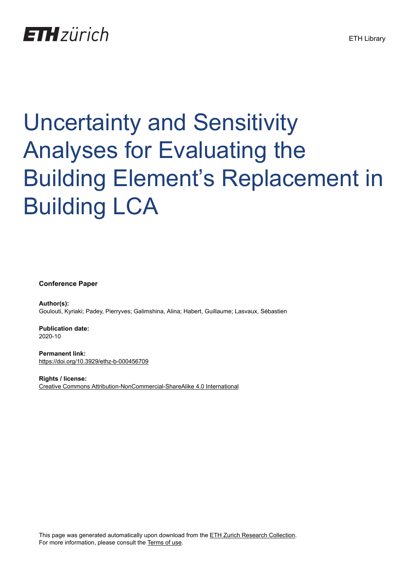# **ETH**zürich

# Uncertainty and Sensitivity Analyses for Evaluating the Building Element's Replacement in Building LCA

**Conference Paper**

**Author(s):** Goulouti, Kyriaki; Padey, Pierryves; Galimshina, Alina; Habert, Guillaume; Lasvaux, Sébastien

**Publication date:** 2020-10

**Permanent link:** <https://doi.org/10.3929/ethz-b-000456709>

**Rights / license:** [Creative Commons Attribution-NonCommercial-ShareAlike 4.0 International](http://creativecommons.org/licenses/by-nc-sa/4.0/)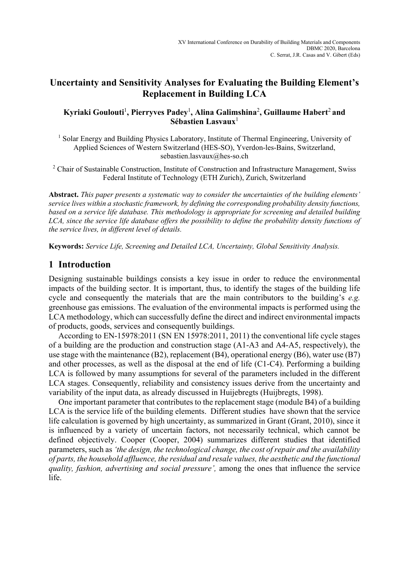# **Uncertainty and Sensitivity Analyses for Evaluating the Building Element's Replacement in Building LCA**

#### **Kyriaki Goulouti**<sup>1</sup> **, Pierryves Padey**<sup>1</sup> **, Alina Galimshina**<sup>2</sup> **, Guillaume Habert**<sup>2</sup> **and Sébastien Lasvaux**<sup>1</sup>

<sup>1</sup> Solar Energy and Building Physics Laboratory, Institute of Thermal Engineering, University of Applied Sciences of Western Switzerland (HES-SO), Yverdon-les-Bains, Switzerland, sebastien.lasvaux@hes-so.ch

 $2$  Chair of Sustainable Construction, Institute of Construction and Infrastructure Management, Swiss Federal Institute of Technology (ETH Zurich), Zurich, Switzerland

**Abstract.** *This paper presents a systematic way to consider the uncertainties of the building elements' service lives within a stochastic framework, by defining the corresponding probability density functions, based on a service life database. This methodology is appropriate for screening and detailed building LCA, since the service life database offers the possibility to define the probability density functions of the service lives, in different level of details.*

**Keywords:** *Service Life, Screening and Detailed LCA, Uncertainty, Global Sensitivity Analysis.* 

### **1 Introduction**

Designing sustainable buildings consists a key issue in order to reduce the environmental impacts of the building sector. It is important, thus, to identify the stages of the building life cycle and consequently the materials that are the main contributors to the building's *e.g.* greenhouse gas emissions. The evaluation of the environmental impacts is performed using the LCA methodology, which can successfully define the direct and indirect environmental impacts of products, goods, services and consequently buildings.

According to EN-15978:2011 (SN EN 15978:2011, 2011) the conventional life cycle stages of a building are the production and construction stage (A1-A3 and A4-A5, respectively), the use stage with the maintenance (B2), replacement (B4), operational energy (B6), water use (B7) and other processes, as well as the disposal at the end of life (C1-C4). Performing a building LCA is followed by many assumptions for several of the parameters included in the different LCA stages. Consequently, reliability and consistency issues derive from the uncertainty and variability of the input data, as already discussed in Huijebregts (Huijbregts, 1998).

One important parameter that contributes to the replacement stage (module B4) of a building LCA is the service life of the building elements. Different studies have shown that the service life calculation is governed by high uncertainty, as summarized in Grant (Grant, 2010), since it is influenced by a variety of uncertain factors, not necessarily technical, which cannot be defined objectively. Cooper (Cooper, 2004) summarizes different studies that identified parameters, such as *'the design, the technological change, the cost of repair and the availability of parts, the household affluence, the residual and resale values, the aesthetic and the functional quality, fashion, advertising and social pressure',* among the ones that influence the service life.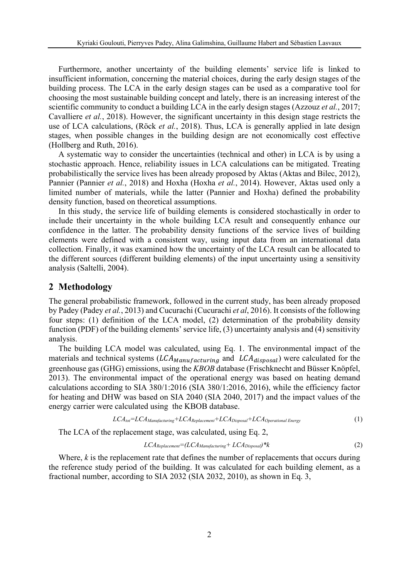Furthermore, another uncertainty of the building elements' service life is linked to insufficient information, concerning the material choices, during the early design stages of the building process. The LCA in the early design stages can be used as a comparative tool for choosing the most sustainable building concept and lately, there is an increasing interest of the scientific community to conduct a building LCA in the early design stages (Azzouz *et al.*, 2017; Cavalliere *et al.*, 2018). However, the significant uncertainty in this design stage restricts the use of LCA calculations, (Röck *et al.*, 2018). Thus, LCA is generally applied in late design stages, when possible changes in the building design are not economically cost effective (Hollberg and Ruth, 2016).

A systematic way to consider the uncertainties (technical and other) in LCA is by using a stochastic approach. Hence, reliability issues in LCA calculations can be mitigated. Treating probabilistically the service lives has been already proposed by Aktas (Aktas and Bilec, 2012), Pannier (Pannier *et al.*, 2018) and Hoxha (Hoxha *et al.*, 2014). However, Aktas used only a limited number of materials, while the latter (Pannier and Hoxha) defined the probability density function, based on theoretical assumptions.

In this study, the service life of building elements is considered stochastically in order to include their uncertainty in the whole building LCA result and consequently enhance our confidence in the latter. The probability density functions of the service lives of building elements were defined with a consistent way, using input data from an international data collection. Finally, it was examined how the uncertainty of the LCA result can be allocated to the different sources (different building elements) of the input uncertainty using a sensitivity analysis (Saltelli, 2004).

#### **2 Methodology**

The general probabilistic framework, followed in the current study, has been already proposed by Padey (Padey *et al.*, 2013) and Cucurachi (Cucurachi *et al*, 2016). It consists of the following four steps: (1) definition of the LCA model, (2) determination of the probability density function (PDF) of the building elements' service life, (3) uncertainty analysis and (4) sensitivity analysis.

The building LCA model was calculated, using Eq. 1. The environmental impact of the materials and technical systems ( $LCA_{Mannifacturing}$  and  $LCA_{disposal}$ ) were calculated for the greenhouse gas (GHG) emissions, using the *KBOB* database (Frischknecht and Büsser Knöpfel, 2013). The environmental impact of the operational energy was based on heating demand calculations according to SIA 380/1:2016 (SIA 380/1:2016, 2016), while the efficiency factor for heating and DHW was based on SIA 2040 (SIA 2040, 2017) and the impact values of the energy carrier were calculated using the KBOB database.

$$
LCAtot=LCAMamufacturing+LCAReplacement+LCADisposal+LCAOperational Energy
$$
\n(1)

The LCA of the replacement stage, was calculated, using Eq. 2,

$$
LCA_{Replacement} = (LCA_{Mamufacturing} + LCA_{Disposal}) * k
$$
\n
$$
(2)
$$

Where,  $k$  is the replacement rate that defines the number of replacements that occurs during the reference study period of the building. It was calculated for each building element, as a fractional number, according to SIA 2032 (SIA 2032, 2010), as shown in Eq. 3,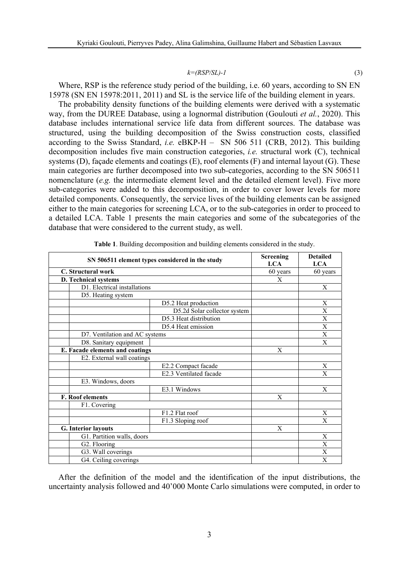$k = (RSP/SL) - 1$  (3)

Where, RSP is the reference study period of the building, i.e. 60 years, according to SN EN 15978 (SN EN 15978:2011, 2011) and SL is the service life of the building element in years.

The probability density functions of the building elements were derived with a systematic way, from the DUREE Database, using a lognormal distribution (Goulouti *et al.*, 2020). This database includes international service life data from different sources. The database was structured, using the building decomposition of the Swiss construction costs, classified according to the Swiss Standard, *i.e.* eBKP-H – SN 506 511 (CRB, 2012). This building decomposition includes five main construction categories, *i.e.* structural work (C), technical systems (D), façade elements and coatings (E), roof elements (F) and internal layout (G). These main categories are further decomposed into two sub-categories, according to the SN 506511 nomenclature (*e.g.* the intermediate element level and the detailed element level). Five more sub-categories were added to this decomposition, in order to cover lower levels for more detailed components. Consequently, the service lives of the building elements can be assigned either to the main categories for screening LCA, or to the sub-categories in order to proceed to a detailed LCA. Table 1 presents the main categories and some of the subcategories of the database that were considered to the current study, as well.

| SN 506511 element types considered in the study |                                | <b>Screening</b><br><b>LCA</b> | <b>Detailed</b><br><b>LCA</b> |   |
|-------------------------------------------------|--------------------------------|--------------------------------|-------------------------------|---|
| C. Structural work<br>60 years                  |                                | 60 years                       |                               |   |
|                                                 | D. Technical systems           |                                | X                             |   |
|                                                 | D1. Electrical installations   |                                |                               | X |
|                                                 | D5. Heating system             |                                |                               |   |
|                                                 |                                | D5.2 Heat production           |                               | X |
|                                                 |                                | D5.2d Solar collector system   |                               | X |
|                                                 |                                | D5.3 Heat distribution         |                               | X |
|                                                 |                                | D5.4 Heat emission             |                               | X |
|                                                 | D7. Ventilation and AC systems |                                |                               | X |
|                                                 | D8. Sanitary equipment         |                                |                               | X |
| E. Facade elements and coatings                 |                                | X                              |                               |   |
|                                                 | E2. External wall coatings     |                                |                               |   |
|                                                 |                                | E2.2 Compact facade            |                               | X |
|                                                 |                                | E2.3 Ventilated facade         |                               | X |
|                                                 | E3. Windows, doors             |                                |                               |   |
|                                                 |                                | E3.1 Windows                   |                               | X |
| F. Roof elements                                |                                | X                              |                               |   |
|                                                 | F1. Covering                   |                                |                               |   |
|                                                 |                                | F1.2 Flat roof                 |                               | X |
|                                                 |                                | F1.3 Sloping roof              |                               | X |
| G. Interior layouts                             |                                | X                              |                               |   |
|                                                 | G1. Partition walls, doors     |                                |                               | X |
|                                                 | G2. Flooring                   |                                |                               | Χ |
|                                                 | G3. Wall coverings             |                                |                               | X |
|                                                 | G4. Ceiling coverings          |                                |                               | X |

**Table 1**. Building decomposition and building elements considered in the study.

After the definition of the model and the identification of the input distributions, the uncertainty analysis followed and 40'000 Monte Carlo simulations were computed, in order to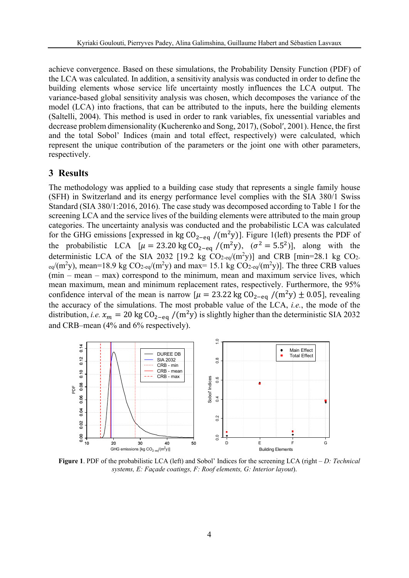achieve convergence. Based on these simulations, the Probability Density Function (PDF) of the LCA was calculated. In addition, a sensitivity analysis was conducted in order to define the building elements whose service life uncertainty mostly influences the LCA output. The variance-based global sensitivity analysis was chosen, which decomposes the variance of the model (LCA) into fractions, that can be attributed to the inputs, here the building elements (Saltelli, 2004). This method is used in order to rank variables, fix unessential variables and decrease problem dimensionality (Kucherenko and Song, 2017), (Sobol′, 2001). Hence, the first and the total Sobol' Indices (main and total effect, respectively) were calculated, which represent the unique contribution of the parameters or the joint one with other parameters, respectively.

#### **3 Results**

The methodology was applied to a building case study that represents a single family house (SFH) in Switzerland and its energy performance level complies with the SIA 380/1 Swiss Standard (SIA 380/1:2016, 2016). The case study was decomposed according to Table 1 for the screening LCA and the service lives of the building elements were attributed to the main group categories. The uncertainty analysis was conducted and the probabilistic LCA was calculated for the GHG emissions [expressed in kg  $CO<sub>2-eq</sub>$  /(m<sup>2</sup>y)]. Figure 1(left) presents the PDF of the probabilistic LCA  $\mu = 23.20 \text{ kg } CO_{2-\text{eq}} / (m^2 y)$ ,  $(\sigma^2 = 5.5^2)$ , along with the deterministic LCA of the SIA 2032 [19.2 kg  $CO_{2\text{-}eq}/(m^2y)$ ] and CRB [min=28.1 kg  $CO_2$ - $_{eq}$ /(m<sup>2</sup>y), mean=18.9 kg CO<sub>2-eq</sub>/(m<sup>2</sup>y) and max= 15.1 kg CO<sub>2-eq</sub>/(m<sup>2</sup>y)]. The three CRB values (min – mean – max) correspond to the minimum, mean and maximum service lives, which mean maximum, mean and minimum replacement rates, respectively. Furthermore, the 95% confidence interval of the mean is narrow  $\mu = 23.22$  kg CO<sub>2-eq</sub> /(m<sup>2</sup>y)  $\pm$  0.05], revealing the accuracy of the simulations. The most probable value of the LCA, *i.e.*, the mode of the distribution, *i.e.*  $x_m = 20 \text{ kg } CO_{2-\text{eq}}$  /(m<sup>2</sup>y) is slightly higher than the deterministic SIA 2032 and CRB–mean (4% and 6% respectively).



**Figure 1**. PDF of the probabilistic LCA (left) and Sobol' Indices for the screening LCA (right *– D: Technical systems, E: Façade coatings, F: Roof elements, G: Interior layout*).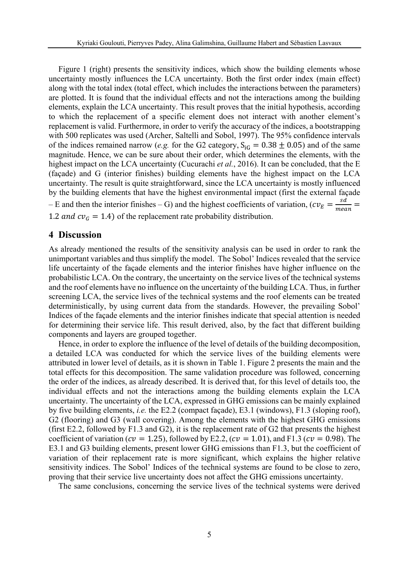Figure 1 (right) presents the sensitivity indices, which show the building elements whose uncertainty mostly influences the LCA uncertainty. Both the first order index (main effect) along with the total index (total effect, which includes the interactions between the parameters) are plotted. It is found that the individual effects and not the interactions among the building elements, explain the LCA uncertainty. This result proves that the initial hypothesis, according to which the replacement of a specific element does not interact with another element's replacement is valid. Furthermore, in order to verify the accuracy of the indices, a bootstrapping with 500 replicates was used (Archer, Saltelli and Sobol, 1997). The 95% confidence intervals of the indices remained narrow (*e.g.* for the G2 category,  $S_{IG} = 0.38 \pm 0.05$ ) and of the same magnitude. Hence, we can be sure about their order, which determines the elements, with the highest impact on the LCA uncertainty (Cucurachi *et al.*, 2016). It can be concluded, that the E (façade) and G (interior finishes) building elements have the highest impact on the LCA uncertainty. The result is quite straightforward, since the LCA uncertainty is mostly influenced by the building elements that have the highest environmental impact (first the external façade – E and then the interior finishes – G) and the highest coefficients of variation, ( $cv_E = \frac{sd}{mean}$ ) 1.2  $and$   $cv_G = 1.4$ ) of the replacement rate probability distribution.

#### **4 Discussion**

As already mentioned the results of the sensitivity analysis can be used in order to rank the unimportant variables and thus simplify the model. The Sobol' Indices revealed that the service life uncertainty of the façade elements and the interior finishes have higher influence on the probabilistic LCA. On the contrary, the uncertainty on the service lives of the technical systems and the roof elements have no influence on the uncertainty of the building LCA. Thus, in further screening LCA, the service lives of the technical systems and the roof elements can be treated deterministically, by using current data from the standards. However, the prevailing Sobol' Indices of the façade elements and the interior finishes indicate that special attention is needed for determining their service life. This result derived, also, by the fact that different building components and layers are grouped together.

Hence, in order to explore the influence of the level of details of the building decomposition, a detailed LCA was conducted for which the service lives of the building elements were attributed in lower level of details, as it is shown in Table 1. Figure 2 presents the main and the total effects for this decomposition. The same validation procedure was followed, concerning the order of the indices, as already described. It is derived that, for this level of details too, the individual effects and not the interactions among the building elements explain the LCA uncertainty. The uncertainty of the LCA, expressed in GHG emissions can be mainly explained by five building elements, *i.e.* the E2.2 (compact façade), E3.1 (windows), F1.3 (sloping roof), G2 (flooring) and G3 (wall covering). Among the elements with the highest GHG emissions (first E2.2, followed by F1.3 and G2), it is the replacement rate of G2 that presents the highest coefficient of variation ( $cv = 1.25$ ), followed by E2.2, ( $cv = 1.01$ ), and F1.3 ( $cv = 0.98$ ). The E3.1 and G3 building elements, present lower GHG emissions than F1.3, but the coefficient of variation of their replacement rate is more significant, which explains the higher relative sensitivity indices. The Sobol' Indices of the technical systems are found to be close to zero, proving that their service live uncertainty does not affect the GHG emissions uncertainty.

The same conclusions, concerning the service lives of the technical systems were derived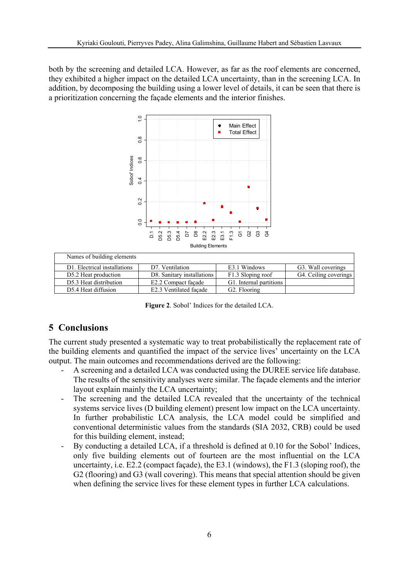both by the screening and detailed LCA. However, as far as the roof elements are concerned, they exhibited a higher impact on the detailed LCA uncertainty, than in the screening LCA. In addition, by decomposing the building using a lower level of details, it can be seen that there is a prioritization concerning the façade elements and the interior finishes.



| Names of building elements   |                            |                         |                       |
|------------------------------|----------------------------|-------------------------|-----------------------|
| D1. Electrical installations | D7. Ventilation            | E3.1 Windows            | G3. Wall coverings    |
| D5.2 Heat production         | D8. Sanitary installations | F1.3 Sloping roof       | G4. Ceiling coverings |
| D5.3 Heat distribution       | E2.2 Compact facade        | G1. Internal partitions |                       |
| D5.4 Heat diffusion          | E2.3 Ventilated facade     | G2. Flooring            |                       |
|                              |                            |                         |                       |

**Figure 2**. Sobol' Indices for the detailed LCA.

## **5 Conclusions**

The current study presented a systematic way to treat probabilistically the replacement rate of the building elements and quantified the impact of the service lives' uncertainty on the LCA output. The main outcomes and recommendations derived are the following:

- A screening and a detailed LCA was conducted using the DUREE service life database. The results of the sensitivity analyses were similar. The façade elements and the interior layout explain mainly the LCA uncertainty;
- The screening and the detailed LCA revealed that the uncertainty of the technical systems service lives (D building element) present low impact on the LCA uncertainty. In further probabilistic LCA analysis, the LCA model could be simplified and conventional deterministic values from the standards (SIA 2032, CRB) could be used for this building element, instead;
- By conducting a detailed LCA, if a threshold is defined at 0.10 for the Sobol' Indices, only five building elements out of fourteen are the most influential on the LCA uncertainty, i.e. E2.2 (compact façade), the E3.1 (windows), the F1.3 (sloping roof), the G2 (flooring) and G3 (wall covering). This means that special attention should be given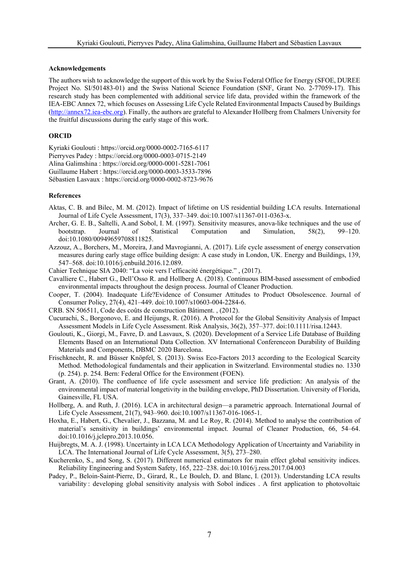#### **Acknowledgements**

The authors wish to acknowledge the support of this work by the Swiss Federal Office for Energy (SFOE, DUREE Project No. SI/501483-01) and the Swiss National Science Foundation (SNF, Grant No. 2-77059-17). This research study has been complemented with additional service life data, provided within the framework of the IEA-EBC Annex 72, which focuses on Assessing Life Cycle Related Environmental Impacts Caused by Buildings (http://annex72.iea-ebc.org). Finally, the authors are grateful to Alexander Hollberg from Chalmers University for the fruitful discussions during the early stage of this work.

#### **ORCID**

Kyriaki Goulouti : https://orcid.org/0000-0002-7165-6117 Pierryves Padey : https://orcid.org/0000-0003-0715-2149 Alina Galimshina : https://orcid.org/0000-0001-5281-7061 Guillaume Habert : https://orcid.org/0000-0003-3533-7896 Sébastien Lasvaux : https://orcid.org/0000-0002-8723-9676

#### **References**

- Aktas, C. B. and Bilec, M. M. (2012). Impact of lifetime on US residential building LCA results. International Journal of Life Cycle Assessment, 17(3), 337–349. doi:10.1007/s11367-011-0363-x.
- Archer, G. E. B., Saltelli, A.and Sobol, I. M. (1997). Sensitivity measures, anova-like techniques and the use of bootstrap. Journal of Statistical Computation and Simulation, 58(2), 99–120. doi:10.1080/00949659708811825.
- Azzouz, A., Borchers, M., Moreira, J.and Mavrogianni, A. (2017). Life cycle assessment of energy conservation measures during early stage office building design: A case study in London, UK. Energy and Buildings, 139, 547–568. doi:10.1016/j.enbuild.2016.12.089.
- Cahier Technique SIA 2040: "La voie vers l'efficacité énergétique." , (2017).
- Cavalliere C., Habert G., Dell'Osso R. and Hollberg A. (2018). Continuous BIM-based assessment of embodied environmental impacts throughout the design process. Journal of Cleaner Production.
- Cooper, T. (2004). Inadequate Life?Evidence of Consumer Attitudes to Product Obsolescence. Journal of Consumer Policy, 27(4), 421–449. doi:10.1007/s10603-004-2284-6.
- CRB. SN 506511, Code des coûts de construction Bâtiment. , (2012).
- Cucurachi, S., Borgonovo, E. and Heijungs, R. (2016). A Protocol for the Global Sensitivity Analysis of Impact Assessment Models in Life Cycle Assessment. Risk Analysis, 36(2), 357–377. doi:10.1111/risa.12443.
- Goulouti, K., Giorgi, M., Favre, D. and Lasvaux, S. (2020). Development of a Service Life Database of Building Elements Based on an International Data Collection. XV International Conferenceon Durability of Building Materials and Components, DBMC 2020 Barcelona.
- Frischknecht, R. and Büsser Knöpfel, S. (2013). Swiss Eco-Factors 2013 according to the Ecological Scarcity Method. Methodological fundamentals and their application in Switzerland. Environmental studies no. 1330 (p. 254). p. 254. Bern: Federal Office for the Environment (FOEN).
- Grant, A. (2010). The confluence of life cycle assessment and service life prediction: An analysis of the environmental impact of material longetivity in the building envelope, PhD Dissertation. University of Florida, Gainesville, FL USA.
- Hollberg, A. and Ruth, J. (2016). LCA in architectural design—a parametric approach. International Journal of Life Cycle Assessment, 21(7), 943–960. doi:10.1007/s11367-016-1065-1.
- Hoxha, E., Habert, G., Chevalier, J., Bazzana, M. and Le Roy, R. (2014). Method to analyse the contribution of material's sensitivity in buildings' environmental impact. Journal of Cleaner Production, 66, 54–64. doi:10.1016/j.jclepro.2013.10.056.
- Huijbregts, M. A. J. (1998). Uncertainty in LCA LCA Methodology Application of Uncertainty and Variability in LCA. The International Journal of Life Cycle Assessment, 3(5), 273–280.
- Kucherenko, S., and Song, S. (2017). Different numerical estimators for main effect global sensitivity indices. Reliability Engineering and System Safety, 165, 222–238. doi:10.1016/j.ress.2017.04.003
- Padey, P., Beloin-Saint-Pierre, D., Girard, R., Le Boulch, D. and Blanc, I. (2013). Understanding LCA results variability : developing global sensitivity analysis with Sobol indices . A first application to photovoltaic